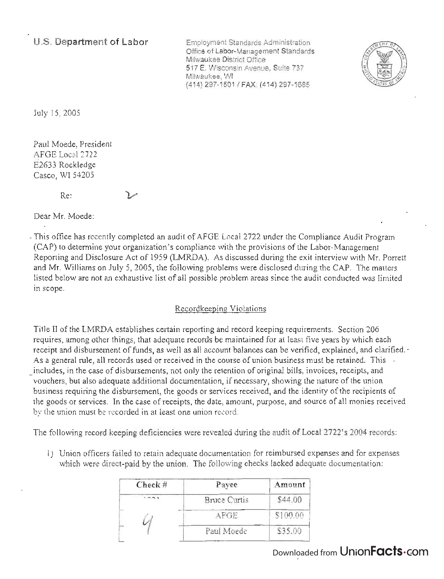**U.S. Department of Labor** 

Employment Standards Administration Office of Labor-Management Standards Milwaukee District Office 517 E. Wisconsin Avenue, Suite 737 Milwaukee, WI (414) 297-150 1 / FAX: (414) 297-1685



July 15, 2005

Paul Moede, President AFGE Local 2722 E2633 Rockledge Casco, WI 54205

Re:

Dear Mr. Moede:

- This office has recently completed an audit of AFGE Local 2722 under the Compliance Audit Program (CAP) to determine your organization's compliance with the provisions of the Labor-Management Reporting and Disclosure Act of 1959 (LMRDA). As discussed during the exit interview with Mr. Porrett and Mr. Williams on July 5, 2005, the following problems were disclosed during the CAP. The matters listed below are not an exhaustive list of all possible problem areas since the audit conducted was limited in scope.

### Recordkeeping Violations

Title II of the LMRDA establishes certain reporting and record keeping requirements. Section 206 requires, among other things, that adequate records be maintained for at least five years by which each receipt and disbursement of funds, as well as all account balances can be verified, explained, and clarified. -As a general rule, all records used or received in the course of union business must be retained. This . includes, in the case of disbursements, not only the retention of original bills, invoices, receipts, and vouchers, but also adequate additional documentation, if necessary, showing the nature of the union business requiring the disbursement, the goods or services received, and the identity of the recipients of the goods or services. In the case of receipts, the date, amount, purpose, and source of all monies received by the union must be recorded in at least one union record.

The following record keeping deficiencies were revealed during the audit of Local 2722's 2004 records:

1) Union officers failed to retain adequate documentation for reimbursed expenses and for expenses which were direct-paid by the union. The following checks lacked adequate documentation:

| Check $#$ | Payee               | Amount   |
|-----------|---------------------|----------|
|           | <b>Bruce Curtis</b> | \$44.00  |
|           | $A$ $F$ $G$ $F$     | \$100.00 |
|           | Paul Moede          | \$35.00  |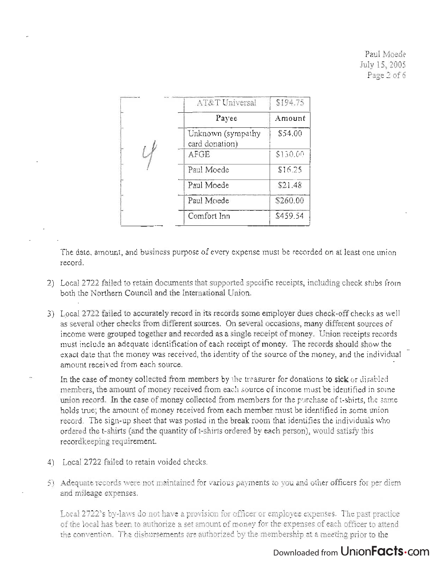Paul Moede July 15, 2005 Page 2 of 6

| AT&T Universal                      | \$194.75 |
|-------------------------------------|----------|
| Payee                               | Amount   |
| Unknown (sympathy<br>card donation) | \$54.00  |
| AFGE                                | \$130.00 |
| Paul Moede                          | \$16.25  |
| Paul Moede                          | \$21.48  |
| Paul Moede                          | \$260.00 |
| Comfort Inn                         | \$459.54 |

The date, amount, and business purpose of every expense must be recorded on at least one union record.

- 2) Local 2722 failed to retain documents that supported specific receipts, including check stubs from both the Northern Council and the International Union.
- 3) Local 2722 failed to accurately record in its records some employer dues check-off checks as well as several other checks from different sources. On several occasions, many different sources of income were grouped together and recorded as a single receipt of money. Union receipts records . must include an adequate identification of each receipt of money. The records should show the exact date that the money was received, the identity of the source of the money, and the individual amount received from each source.
- In the case of money collected from members by the treasurer for donations to sick or disabled members, the amount of money received from each source of income must be identified in some union record. In the case of money collected from members for the purchase of t-shirts, the same holds true; the amount of money received from each member must be identified in some union record. The sign-up sheet that was posted in the break room that identifies the individuals who ordered the t-shirts (and the quantity of t-shirts ordered by each person), would satisfy this recordkeeping requirement.
- 4) Local 2722 failed to retain voided checks.
- 5) Adequate records were not maintained for various payments to you and other officers for per diem and mileage expenses.

Local 2722's by-laws do not have a provision for officer or employee expenses. The past practice of the local has been to authorize a set amount of money for the expenses of each officer to attend the convention. The dishursements are authorized by the membership at a meeting prior to the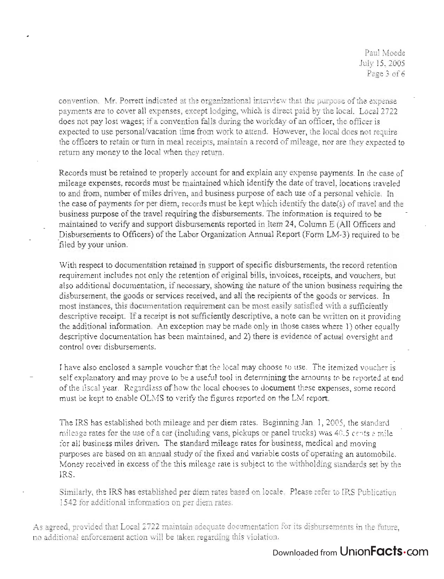Paul Moede July 15, 2005 Page 3 of 6

convention. Mr. Parrett indicated at the organizational interview that the purpose of the expense payments are to cover all expenses, except lodging, which is direct paid by the local. Local 2722 does not pay lost wages; if a convention falls during the workday of an officer, the officer is expected to use personal/vacation time from work to attend. However, the local does not require the officers to retain or turn in meal receipts, maintain a record of mileage, nor are they expected to return any money to the local when they return.

Records must be retained to properly account for and explain any expense payments. In the case of mileage expenses, records must be maintained which identify the date of travel, locations traveled to and from, number of miles driven, and business purpose of each use of a personal vehicle. In the case of payments for per diem, records must be kept which identify the date(s) of travel and the business purpose of the travel requiring the disbursements. The information is required to be maintained to verify and support disbursements reported in Item 24, Column E (All Officers and Disbursements to Officers) of the Labor Organization Annual Report (Form LM-3) required to be filed by your union.

With respect to documentation retained in support of specific disbursements, the record retention requirement includes not only the retention of original bills, invoices, receipts, and vouchers, but also additional documentation, if necessary, showing the nature of the union business requiring the disbursement, the goods or services received, and all the recipients of the goods or services. In most instances, this documentation requirement can be most easily satisfied with a sufficiently descriptive receipt. If a receipt is not sufficiently descriptive, a note can be written on it providing the additional information. An exception may be made only in those cases where 1) other equally descriptive documentation has been maintained, and 2) there is evidence of actual oversight and control over disbursements.

I have also enclosed a sample voucher that the local may choose to use. The itemized voucher is self explanatory and may prove to be a useful tool in determining the amounts to be reported at end of the fiscal year. Regardless of how the local chooses to document these expenses, some record must be kept to enable OLMS to verify the figures reported on the LM report.

The IRS has established both mileage and per diem rates. Beginning Jan. 1, 2005, the standard mileage rates for the use of a car (including vans, pickups or panel trucks) was 40.5 cents a mile for all business miles driven. The standard mileage rates for business, medical and moving purposes are based on an annual study of the fixed and variable costs of operating an automobile. Money received in excess of the this mileage rate is subject to the withholding standards set by the IRS.

Similarly, the IRS has established per diem rates based on locale. Please refer to IRS Publication 1542 for additional information on per diem rates.

As agreed, provided that Local 2722 maintain adequate documentation for its disbursements in the future, no additional enforcement action will be taken regarding this violation.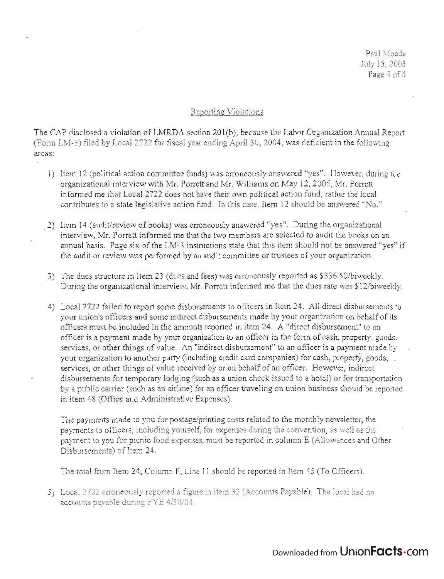Paul Moede July 15, 2005 Page 4 of 6

#### Reporting Violations

The CAP disclosed a violation of LMRDA section 201(b), because the Labor Organization Annual Report  $\mathcal{L}$  and discrete a violation of ENRLA section 201(0), occalled the Early Organization Application  $\mathcal{L}$ areas:

- 1) Item 12 (political action committee funds) was erroneously answered "yes". However, during the organizational interview with Mr. Porrett and Mr. Williams on May 12, 2005, Mr. Porrett informed me that Local 2722 does not have their own political action fund, rather the local contributes to a state legislative action fund. In this case, Item 12 should be answered "No."
- 2) Item 14 (audit/review of books) was erroneously answered "yes". During the organizational interview: Mr. Parrett informed me that the two members are selected to audit the books on an ammal basis. Page six of the LM-3 instructions state that this item should not be answered "yes" if the audit or review was performed by an audit committee or trustees of your organization.
- 3) The dues structure in Item 23 (dues and fees) was erroneously reported as \$336.50/biweekly. During the organizational interview, Mr. Porrett informed me that the dues rate was \$12/biweekly.
- 4) Local 2722 failed to report some disbursements to officers in Item 24. All direct disbursements to your union's officers and some indirect disbursements made by your organization on behalf of its officers must be included in the amounts reported in item 24. A "direct disbursement" to an officer is a payment made by your organization to an officer in the form of cash, property, goods, services, or other things of value. An "indirect disbursement" to an officer is a payment made by your organization to another party (including credit card companies) for cash, property, goods, services, or other things of value received by or on behalf of an officer. However, indirect disbursements for temporary lodging (such as a union check issued to a hotel) or for transportation by a public carrier (such as an airline) for an officer traveling on union business should be reported in item 48 (Office and Administrative Expenses).

The payments made to you for postage/printing costs related to the monthly newsletter, the payments to officers, including yourself, for expenses during the convention, as well as the payment to you for picnic food expenses, must be reported in column E (Allowances and Other Disbursements) of Item 24.

The total from Item 24, Column F, Line 11 should be reported in Item 45 (To Officers).

5) Local 2722 erroneously reported a figure in Item 32 (Accounts Payable). The local had no accounts payable during FYE 4/30/04.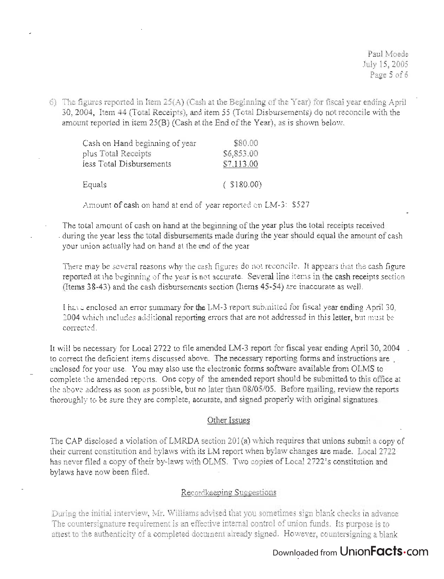6) The figures reported in Item  $25(A)$  (Cash at the Beginning of the Year) for fiscal year ending April 30,2004, Item 44 (Total Receipts), and item 55 (Total Disbursements) do not reconcile with the amount reported in item 25(B) (Cash at the End of the Year), as is shown below.

| Cash on Hand beginning of year | \$80.00       |  |
|--------------------------------|---------------|--|
| plus Total Receipts            | \$6,853.00    |  |
| less Total Disbursements       | \$7,113.00    |  |
| Equals                         | $($ \$180.00) |  |

Amount of cash on hand at end of year reported on LM-3: \$527

The total amount of cash on hand at the beginning of the year plus the total receipts received - duririg the year less the total disbursements made during the year should equal the amount of cash your union actually had on hand at the end of the year.

There may be several reasons why the cash figures do not reconcile. It appears that the cash figure reported at the beginning of the year is not accurate. Several line items in the cash receipts section (Items 38-43) and the cash disbursements section (Items 45-54) are inaccurate as well.

I have enclosed an error summary for the LM-3 report submitted for fiscal year ending April 30, 2004 which includes additional reporting errors that are not addressed in this letter, but must be corrected.

It will be necessary for Local 2722 to file amended LM-3 report for fiscal year ending April 30,2004 \_ to correct the deficient items discussed above. The necessary reporting forms and instructions are \_ enclosed for your use. You may also use the electronic forms software available from OLMS to complete the amended reports. One copy of the amended report should be submitted to this office at the above address as soon as possible, but no later than 08/05/05. Before mailing, review the reports thoroughly to be sure they are complete, accurate, and signed properly with original signatures.

### Other Issues

The CAP disclosed a violation of LMRDA section  $201(a)$  which requires that unions submit a copy of their current constitution and bylaws with its LM report when bylaw changes are made. Local 2722 has never filed a copy of their by-laws with OLMS. Two copies of Local 2722's constitution and bylaws have now been filed.

### Recordkeeping Suggestions

During the initial interview, Mr. Williams advised that you sometimes sign blank checks in advance. The countersignature requirement is an effective internal control of union funds. Its purpose is to attest to the authenticity of a completed document already signed. However, countersigning a blank